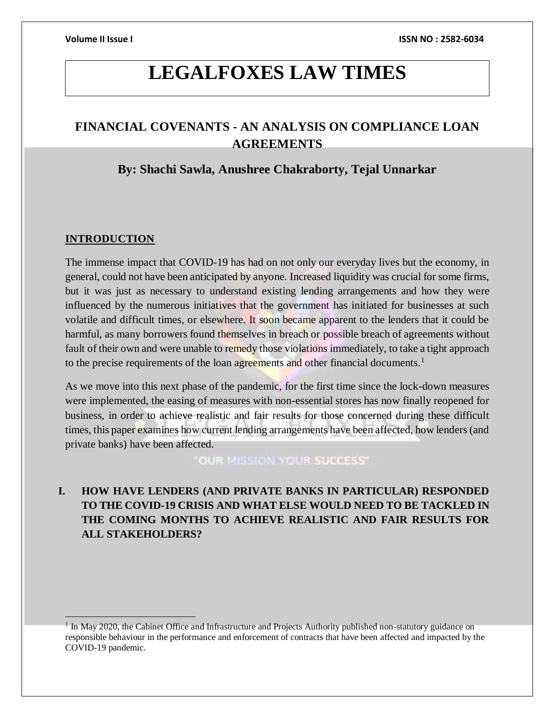## **LEGALFOXES LAW TIMES**

### **FINANCIAL COVENANTS - AN ANALYSIS ON COMPLIANCE LOAN AGREEMENTS**

### **By: Shachi Sawla, Anushree Chakraborty, Tejal Unnarkar**

### **INTRODUCTION**

 $\overline{a}$ 

The immense impact that COVID-19 has had on not only our everyday lives but the economy, in general, could not have been anticipated by anyone. Increased liquidity was crucial for some firms, but it was just as necessary to understand existing lending arrangements and how they were influenced by the numerous initiatives that the government has initiated for businesses at such volatile and difficult times, or elsewhere. It soon became apparent to the lenders that it could be harmful, as many borrowers found themselves in breach or possible breach of agreements without fault of their own and were unable to remedy those violations immediately, to take a tight approach to the precise requirements of the loan agreements and other financial documents.<sup>1</sup>

As we move into this next phase of the pandemic, for the first time since the lock-down measures were implemented, the easing of measures with non-essential stores has now finally reopened for business, in order to achieve realistic and fair results for those concerned during these difficult times, this paper examines how current lending arrangements have been affected, how lenders (and private banks) have been affected.

OUR MISSION YOUR SUCCESS"

### **I. HOW HAVE LENDERS (AND PRIVATE BANKS IN PARTICULAR) RESPONDED TO THE COVID-19 CRISIS AND WHAT ELSE WOULD NEED TO BE TACKLED IN THE COMING MONTHS TO ACHIEVE REALISTIC AND FAIR RESULTS FOR ALL STAKEHOLDERS?**

<sup>&</sup>lt;sup>1</sup> In May 2020, the Cabinet Office and Infrastructure and Projects Authority published non-statutory guidance on responsible behaviour in the performance and enforcement of contracts that have been affected and impacted by the COVID-19 pandemic.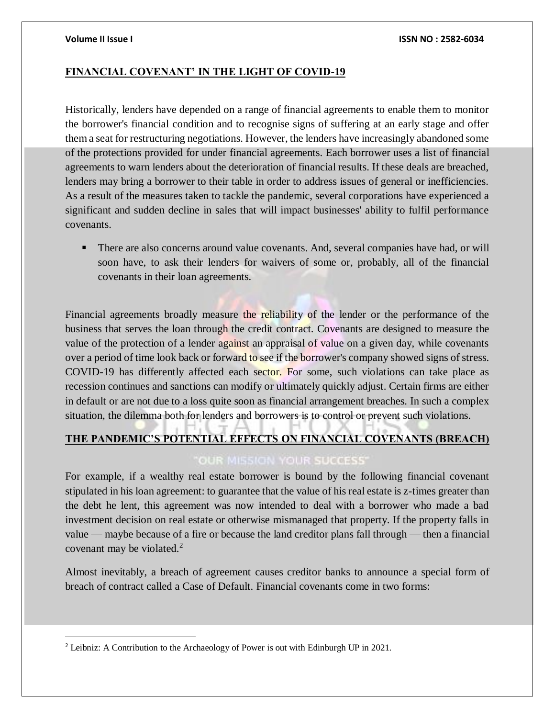$\overline{a}$ 

### **FINANCIAL COVENANT' IN THE LIGHT OF COVID-19**

Historically, lenders have depended on a range of financial agreements to enable them to monitor the borrower's financial condition and to recognise signs of suffering at an early stage and offer them a seat for restructuring negotiations. However, the lenders have increasingly abandoned some of the protections provided for under financial agreements. Each borrower uses a list of financial agreements to warn lenders about the deterioration of financial results. If these deals are breached, lenders may bring a borrower to their table in order to address issues of general or inefficiencies. As a result of the measures taken to tackle the pandemic, several corporations have experienced a significant and sudden decline in sales that will impact businesses' ability to fulfil performance covenants.

 There are also concerns around value covenants. And, several companies have had, or will soon have, to ask their lenders for waivers of some or, probably, all of the financial covenants in their loan agreements.

Financial agreements broadly measure the reliability of the lender or the performance of the business that serves the loan through the credit contract. Covenants are designed to measure the value of the protection of a lender against an appraisal of value on a given day, while covenants over a period of time look back or forward to see if the borrower's company showed signs of stress. COVID-19 has differently affected each sector. For some, such violations can take place as recession continues and sanctions can modify or ultimately quickly adjust. Certain firms are either in default or are not due to a loss quite soon as financial arrangement breaches. In such a complex situation, the dilemma both for lenders and borrowers is to control or prevent such violations.

### **THE PANDEMIC'S POTENTIAL EFFECTS ON FINANCIAL COVENANTS (BREACH)**

### **OUR MISSION YOUR SUCCESS'**

For example, if a wealthy real estate borrower is bound by the following financial covenant stipulated in his loan agreement: to guarantee that the value of his real estate is z-times greater than the debt he lent, this agreement was now intended to deal with a borrower who made a bad investment decision on real estate or otherwise mismanaged that property. If the property falls in value — maybe because of a fire or because the land creditor plans fall through — then a financial covenant may be violated.<sup>2</sup>

Almost inevitably, a breach of agreement causes creditor banks to announce a special form of breach of contract called a Case of Default. Financial covenants come in two forms:

<sup>&</sup>lt;sup>2</sup> Leibniz: A Contribution to the Archaeology of Power is out with Edinburgh UP in 2021.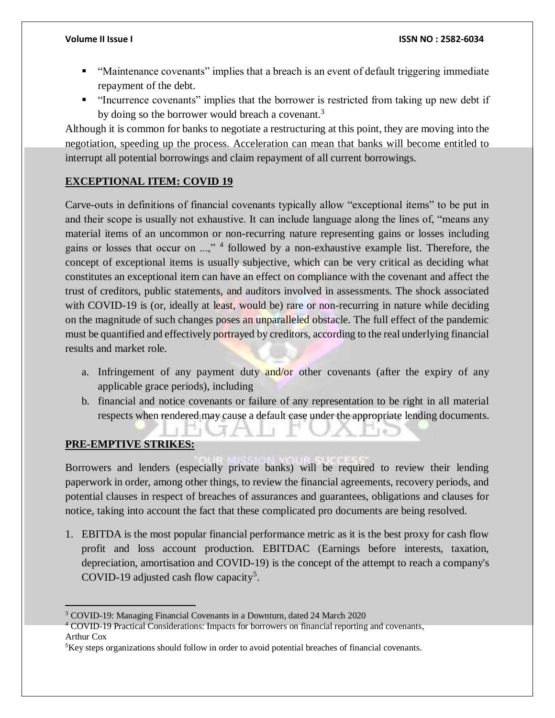- "Maintenance covenants" implies that a breach is an event of default triggering immediate repayment of the debt.
- "Incurrence covenants" implies that the borrower is restricted from taking up new debt if by doing so the borrower would breach a covenant.<sup>3</sup>

Although it is common for banks to negotiate a restructuring at this point, they are moving into the negotiation, speeding up the process. Acceleration can mean that banks will become entitled to interrupt all potential borrowings and claim repayment of all current borrowings.

### **EXCEPTIONAL ITEM: COVID 19**

Carve-outs in definitions of financial covenants typically allow "exceptional items" to be put in and their scope is usually not exhaustive. It can include language along the lines of, "means any material items of an uncommon or non-recurring nature representing gains or losses including gains or losses that occur on ...,"<sup>4</sup> followed by a non-exhaustive example list. Therefore, the concept of exceptional items is usually subjective, which can be very critical as deciding what constitutes an exceptional item can have an effect on compliance with the covenant and affect the trust of creditors, public statements, and auditors involved in assessments. The shock associated with COVID-19 is (or, ideally at least, would be) rare or non-recurring in nature while deciding on the magnitude of such changes poses an unparalleled obstacle. The full effect of the pandemic must be quantified and effectively portrayed by creditors, according to the real underlying financial results and market role.

- a. Infringement of any payment duty and/or other covenants (after the expiry of any applicable grace periods), including
- b. financial and notice covenants or failure of any representation to be right in all material respects when rendered may cause a default case under the appropriate lending documents.

### **PRE-EMPTIVE STRIKES:**

Borrowers and lenders (especially private banks) will be required to review their lending paperwork in order, among other things, to review the financial agreements, recovery periods, and potential clauses in respect of breaches of assurances and guarantees, obligations and clauses for notice, taking into account the fact that these complicated pro documents are being resolved.

1. EBITDA is the most popular financial performance metric as it is the best proxy for cash flow profit and loss account production. EBITDAC (Earnings before interests, taxation, depreciation, amortisation and COVID-19) is the concept of the attempt to reach a company's COVID-19 adjusted cash flow capacity<sup>5</sup>.

 $\overline{a}$ <sup>3</sup> COVID-19: Managing Financial Covenants in a Downturn, dated 24 March 2020

<sup>4</sup> COVID-19 Practical Considerations: Impacts for borrowers on financial reporting and covenants, Arthur Cox

<sup>&</sup>lt;sup>5</sup>Key steps organizations should follow in order to avoid potential breaches of financial covenants.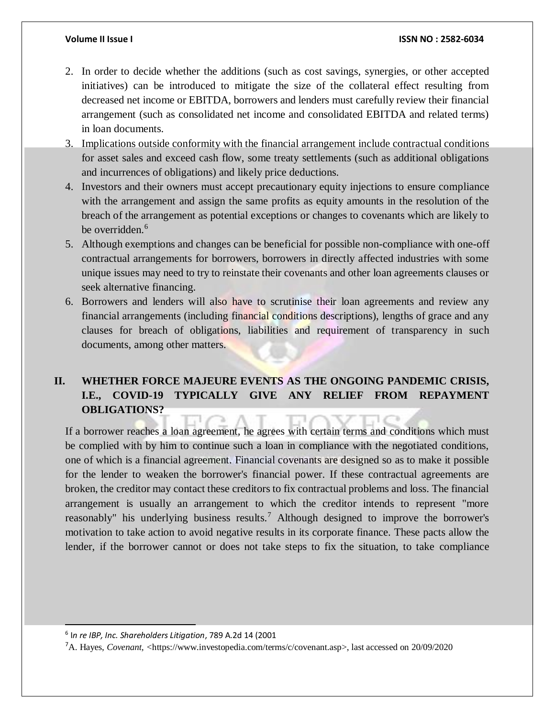- 2. In order to decide whether the additions (such as cost savings, synergies, or other accepted initiatives) can be introduced to mitigate the size of the collateral effect resulting from decreased net income or EBITDA, borrowers and lenders must carefully review their financial arrangement (such as consolidated net income and consolidated EBITDA and related terms) in loan documents.
- 3. Implications outside conformity with the financial arrangement include contractual conditions for asset sales and exceed cash flow, some treaty settlements (such as additional obligations and incurrences of obligations) and likely price deductions.
- 4. Investors and their owners must accept precautionary equity injections to ensure compliance with the arrangement and assign the same profits as equity amounts in the resolution of the breach of the arrangement as potential exceptions or changes to covenants which are likely to be overridden.<sup>6</sup>
- 5. Although exemptions and changes can be beneficial for possible non-compliance with one-off contractual arrangements for borrowers, borrowers in directly affected industries with some unique issues may need to try to reinstate their covenants and other loan agreements clauses or seek alternative financing.
- 6. Borrowers and lenders will also have to scrutinise their loan agreements and review any financial arrangements (including financial conditions descriptions), lengths of grace and any clauses for breach of obligations, liabilities and requirement of transparency in such documents, among other matters.

### **II. WHETHER FORCE MAJEURE EVENTS AS THE ONGOING PANDEMIC CRISIS, I.E., COVID-19 TYPICALLY GIVE ANY RELIEF FROM REPAYMENT OBLIGATIONS?**

If a borrower reaches a loan agreement, he agrees with certain terms and conditions which must be complied with by him to continue such a loan in compliance with the negotiated conditions, one of which is a financial agreement. Financial covenants are designed so as to make it possible for the lender to weaken the borrower's financial power. If these contractual agreements are broken, the creditor may contact these creditors to fix contractual problems and loss. The financial arrangement is usually an arrangement to which the creditor intends to represent "more reasonably" his underlying business results.<sup>7</sup> Although designed to improve the borrower's motivation to take action to avoid negative results in its corporate finance. These pacts allow the lender, if the borrower cannot or does not take steps to fix the situation, to take compliance

6 I*n re IBP, Inc. Shareholders Litigation*, 789 A.2d 14 (2001

 $\overline{\phantom{a}}$ 

<sup>7</sup>A. Hayes, *Covenant, <*[https://www.investopedia.com/terms/c/covenant.asp>](https://www.investopedia.com/terms/c/covenant.asp), last accessed on 20/09/2020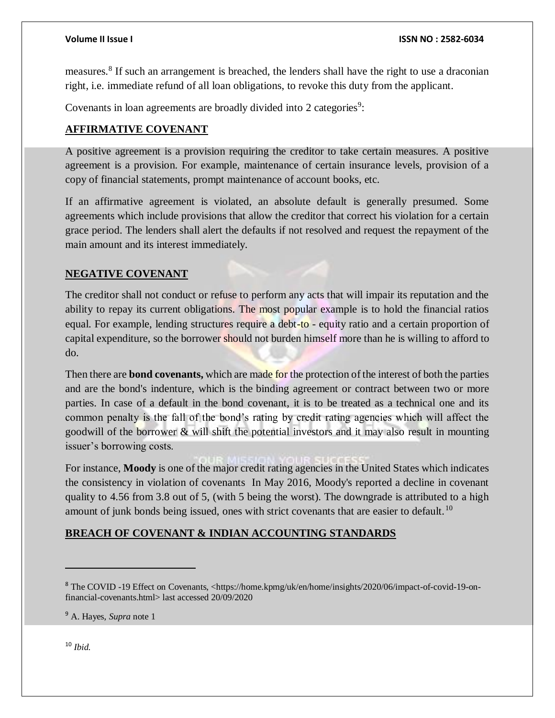measures.<sup>8</sup> If such an arrangement is breached, the lenders shall have the right to use a draconian right, i.e. immediate refund of all loan obligations, to revoke this duty from the applicant.

Covenants in loan agreements are broadly divided into 2 categories<sup>9</sup>:

### **AFFIRMATIVE COVENANT**

A positive agreement is a provision requiring the creditor to take certain measures. A positive agreement is a provision. For example, maintenance of certain insurance levels, provision of a copy of financial statements, prompt maintenance of account books, etc.

If an affirmative agreement is violated, an absolute default is generally presumed. Some agreements which include provisions that allow the creditor that correct his violation for a certain grace period. The lenders shall alert the defaults if not resolved and request the repayment of the main amount and its interest immediately.

### **NEGATIVE COVENANT**

The creditor shall not conduct or refuse to perform any acts that will impair its reputation and the ability to repay its current obligations. The most popular example is to hold the financial ratios equal. For example, lending structures require a debt-to - equity ratio and a certain proportion of capital expenditure, so the borrower should not burden himself more than he is willing to afford to do.

Then there are **bond covenants,** which are made for the protection of the interest of both the parties and are the bond's indenture, which is the binding agreement or contract between two or more parties. In case of a default in the bond covenant, it is to be treated as a technical one and its common penalty is the fall of the bond's rating by credit rating agencies which will affect the goodwill of the borrower & will shift the potential investors and it may also result in mounting issuer's borrowing costs.

For instance, **Moody** is one of the major credit rating agencies in the United States which indicates the consistency in violation of covenants In May 2016, Moody's reported a decline in covenant quality to 4.56 from 3.8 out of 5, (with 5 being the worst). The downgrade is attributed to a high amount of junk bonds being issued, ones with strict covenants that are easier to default.<sup>10</sup>

### **BREACH OF COVENANT & INDIAN ACCOUNTING STANDARDS**

<sup>10</sup> *Ibid.*

 $\overline{a}$ 

<sup>&</sup>lt;sup>8</sup> The COVID -19 Effect on Covenants, [<https://home.kpmg/uk/en/home/insights/2020/06/impact-of-covid-19-on](https://home.kpmg/uk/en/home/insights/2020/06/impact-of-covid-19-on-financial-covenants.html)[financial-covenants.html>](https://home.kpmg/uk/en/home/insights/2020/06/impact-of-covid-19-on-financial-covenants.html) last accessed 20/09/2020

<sup>9</sup> A. Hayes, *Supra* note 1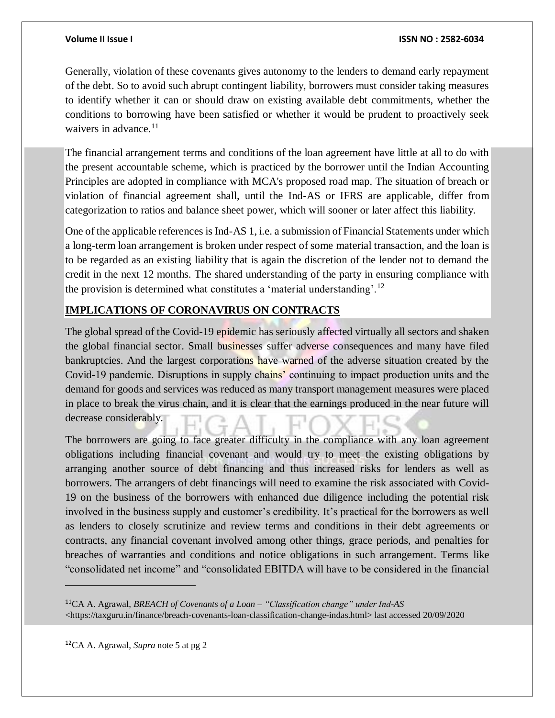Generally, violation of these covenants gives autonomy to the lenders to demand early repayment of the debt. So to avoid such abrupt contingent liability, borrowers must consider taking measures to identify whether it can or should draw on existing available debt commitments, whether the conditions to borrowing have been satisfied or whether it would be prudent to proactively seek waivers in advance. $11$ 

The financial arrangement terms and conditions of the loan agreement have little at all to do with the present accountable scheme, which is practiced by the borrower until the Indian Accounting Principles are adopted in compliance with MCA's proposed road map. The situation of breach or violation of financial agreement shall, until the Ind-AS or IFRS are applicable, differ from categorization to ratios and balance sheet power, which will sooner or later affect this liability.

One of the applicable references is Ind-AS 1, i.e. a submission of Financial Statements under which a long-term loan arrangement is broken under respect of some material transaction, and the loan is to be regarded as an existing liability that is again the discretion of the lender not to demand the credit in the next 12 months. The shared understanding of the party in ensuring compliance with the provision is determined what constitutes a 'material understanding'.<sup>12</sup>

### **IMPLICATIONS OF CORONAVIRUS ON CONTRACTS**

The global spread of the Covid-19 epidemic has seriously affected virtually all sectors and shaken the global financial sector. Small businesses suffer adverse consequences and many have filed bankruptcies. And the largest corporations have warned of the adverse situation created by the Covid-19 pandemic. Disruptions in supply chains' continuing to impact production units and the demand for goods and services was reduced as many transport management measures were placed in place to break the virus chain, and it is clear that the earnings produced in the near future will decrease considerably.

The borrowers are going to face greater difficulty in the compliance with any loan agreement obligations including financial covenant and would try to meet the existing obligations by arranging another source of debt financing and thus increased risks for lenders as well as borrowers. The arrangers of debt financings will need to examine the risk associated with Covid-19 on the business of the borrowers with enhanced due diligence including the potential risk involved in the business supply and customer's credibility. It's practical for the borrowers as well as lenders to closely scrutinize and review terms and conditions in their debt agreements or contracts, any financial covenant involved among other things, grace periods, and penalties for breaches of warranties and conditions and notice obligations in such arrangement. Terms like "consolidated net income" and "consolidated EBITDA will have to be considered in the financial

<sup>12</sup>CA A. Agrawal, *Supra* note 5 at pg 2

 $\overline{a}$ 

<sup>11</sup>CA A. Agrawal, *BREACH of Covenants of a Loan – "Classification change" under Ind-AS* [<https://taxguru.in/finance/breach-covenants-loan-classification-change-indas.html>](https://taxguru.in/finance/breach-covenants-loan-classification-change-indas.html) last accessed 20/09/2020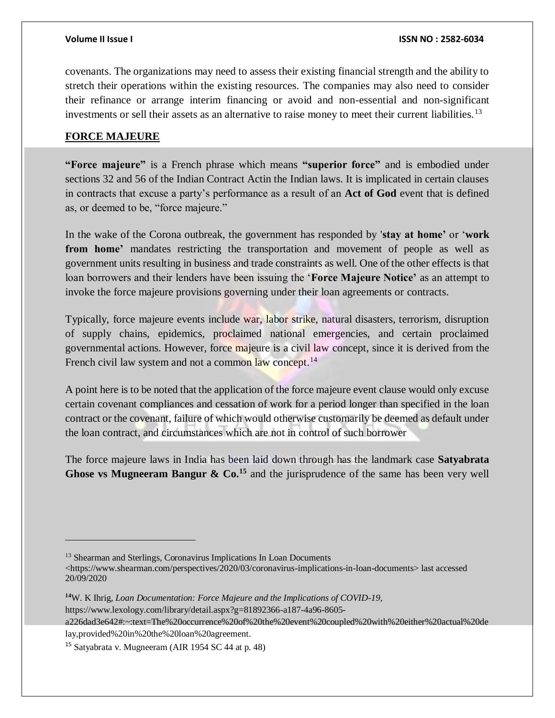covenants. The organizations may need to assess their existing financial strength and the ability to stretch their operations within the existing resources. The companies may also need to consider their refinance or arrange interim financing or avoid and non-essential and non-significant investments or sell their assets as an alternative to raise money to meet their current liabilities.<sup>13</sup>

### **FORCE MAJEURE**

**"Force majeure"** is a French phrase which means **"superior force"** and is embodied under sections 32 and 56 of the Indian Contract Actin the Indian laws. It is implicated in certain clauses in contracts that excuse a party's performance as a result of an **Act of God** event that is defined as, or deemed to be, "force majeure."

In the wake of the Corona outbreak, the government has responded by '**stay at home'** or '**work from home'** mandates restricting the transportation and movement of people as well as government units resulting in business and trade constraints as well. One of the other effects is that loan borrowers and their lenders have been issuing the '**Force Majeure Notice'** as an attempt to invoke the force majeure provisions governing under their loan agreements or contracts.

Typically, force majeure events include war, labor strike, natural disasters, terrorism, disruption of supply chains, epidemics, proclaimed national emergencies, and certain proclaimed governmental actions. However, force majeure is a civil law concept, since it is derived from the French civil law system and not a common law concept.<sup>14</sup>

A point here is to be noted that the application of the force majeure event clause would only excuse certain covenant compliances and cessation of work for a period longer than specified in the loan contract or the covenant, failure of which would otherwise customarily be deemed as default under the loan contract, and circumstances which are not in control of such borrower

The force majeure laws in India has been laid down through has the landmark case **Satyabrata Ghose vs Mugneeram Bangur & Co.<sup>15</sup>** and the jurisprudence of the same has been very well

[https://www.lexology.com/library/detail.aspx?g=81892366-a187-4a96-8605-](https://www.lexology.com/library/detail.aspx?g=81892366-a187-4a96-8605-a226dad3e642#:~:text=The%20occurrence%20of%20the%20event%20coupled%20with%20either%20actual%20delay,provided%20in%20the%20loan%20agreement)

 $\overline{a}$ 

<sup>&</sup>lt;sup>13</sup> Shearman and Sterlings, Coronavirus Implications In Loan Documents

[<sup>&</sup>lt;https://www.shearman.com/perspectives/2020/03/coronavirus-implications-in-loan-documents>](https://www.shearman.com/perspectives/2020/03/coronavirus-implications-in-loan-documents) last accessed 20/09/2020

**<sup>14</sup>**W. K Ihrig*, Loan Documentation: Force Majeure and the Implications of COVID-19,*

[a226dad3e642#:~:text=The%20occurrence%20of%20the%20event%20coupled%20with%20either%20actual%20de](https://www.lexology.com/library/detail.aspx?g=81892366-a187-4a96-8605-a226dad3e642#:~:text=The%20occurrence%20of%20the%20event%20coupled%20with%20either%20actual%20delay,provided%20in%20the%20loan%20agreement) [lay,provided%20in%20the%20loan%20agreement.](https://www.lexology.com/library/detail.aspx?g=81892366-a187-4a96-8605-a226dad3e642#:~:text=The%20occurrence%20of%20the%20event%20coupled%20with%20either%20actual%20delay,provided%20in%20the%20loan%20agreement)

<sup>15</sup> Satyabrata v. Mugneeram (AIR 1954 SC 44 at p. 48)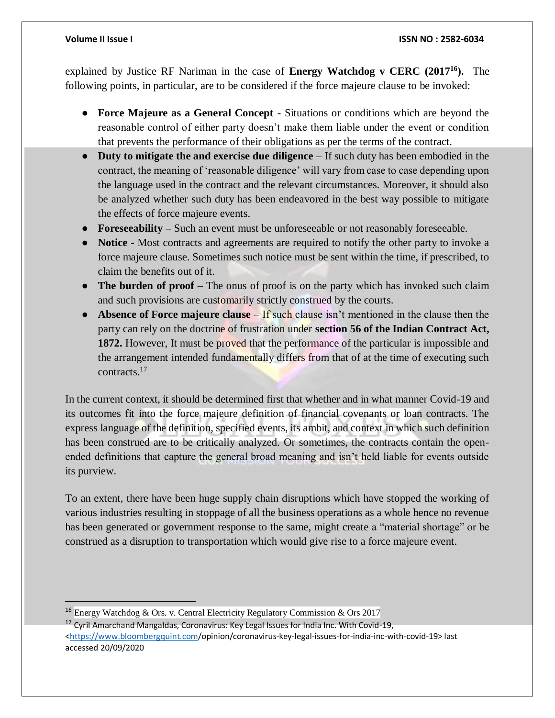$\overline{a}$ 

explained by Justice RF Nariman in the case of **Energy Watchdog v CERC (2017<sup>16</sup>).** The following points, in particular, are to be considered if the force majeure clause to be invoked:

- **Force Majeure as a General Concept** Situations or conditions which are beyond the reasonable control of either party doesn't make them liable under the event or condition that prevents the performance of their obligations as per the terms of the contract.
- **Duty to mitigate the and exercise due diligence** If such duty has been embodied in the contract, the meaning of 'reasonable diligence' will vary from case to case depending upon the language used in the contract and the relevant circumstances. Moreover, it should also be analyzed whether such duty has been endeavored in the best way possible to mitigate the effects of force majeure events.
- **Foreseeability –** Such an event must be unforeseeable or not reasonably foreseeable.
- **Notice -** Most contracts and agreements are required to notify the other party to invoke a force majeure clause. Sometimes such notice must be sent within the time, if prescribed, to claim the benefits out of it.
- **The burden of proof** The onus of proof is on the party which has invoked such claim and such provisions are customarily strictly construed by the courts.
- **Absence of Force majeure clause** If such clause isn't mentioned in the clause then the party can rely on the doctrine of frustration under **section 56 of the Indian Contract Act, 1872.** However, It must be proved that the performance of the particular is impossible and the arrangement intended fundamentally differs from that of at the time of executing such contracts. 17

In the current context, it should be determined first that whether and in what manner Covid-19 and its outcomes fit into the force majeure definition of financial covenants or loan contracts. The express language of the definition, specified events, its ambit, and context in which such definition has been construed are to be critically analyzed. Or sometimes, the contracts contain the openended definitions that capture the general broad meaning and isn't held liable for events outside its purview.

To an extent, there have been huge supply chain disruptions which have stopped the working of various industries resulting in stoppage of all the business operations as a whole hence no revenue has been generated or government response to the same, might create a "material shortage" or be construed as a disruption to transportation which would give rise to a force majeure event.

<sup>16</sup> Energy Watchdog & Ors. v. Central Electricity Regulatory Commission & Ors 2017

<sup>&</sup>lt;sup>17</sup> Cyril Amarchand Mangaldas, Coronavirus: Key Legal Issues for India Inc. With Covid-19, [<https://www.bloombergquint.com/](https://www.bloombergquint.com/)opinion/coronavirus-key-legal-issues-for-india-inc-with-covid-19> last accessed 20/09/2020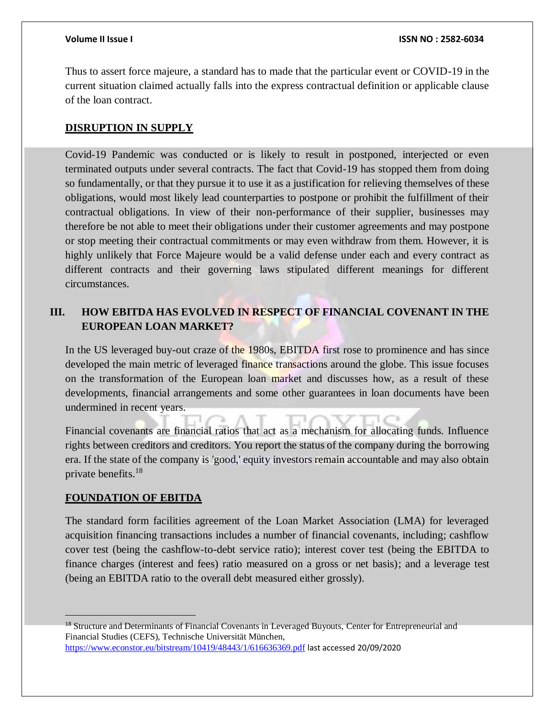Thus to assert force majeure, a standard has to made that the particular event or COVID-19 in the current situation claimed actually falls into the express contractual definition or applicable clause of the loan contract.

### **DISRUPTION IN SUPPLY**

Covid-19 Pandemic was conducted or is likely to result in postponed, interjected or even terminated outputs under several contracts. The fact that Covid-19 has stopped them from doing so fundamentally, or that they pursue it to use it as a justification for relieving themselves of these obligations, would most likely lead counterparties to postpone or prohibit the fulfillment of their contractual obligations. In view of their non-performance of their supplier, businesses may therefore be not able to meet their obligations under their customer agreements and may postpone or stop meeting their contractual commitments or may even withdraw from them. However, it is highly unlikely that Force Majeure would be a valid defense under each and every contract as different contracts and their governing laws stipulated different meanings for different circumstances.

### **III. HOW EBITDA HAS EVOLVED IN RESPECT OF FINANCIAL COVENANT IN THE EUROPEAN LOAN MARKET?**

In the US leveraged buy-out craze of the 1980s, EBITDA first rose to prominence and has since developed the main metric of leveraged finance transactions around the globe. This issue focuses on the transformation of the European loan market and discusses how, as a result of these developments, financial arrangements and some other guarantees in loan documents have been undermined in recent years.

Financial covenants are financial ratios that act as a mechanism for allocating funds. Influence rights between creditors and creditors. You report the status of the company during the borrowing era. If the state of the company is 'good,' equity investors remain accountable and may also obtain private benefits.<sup>18</sup>

### **FOUNDATION OF EBITDA**

 $\overline{a}$ 

The standard form facilities agreement of the Loan Market Association (LMA) for leveraged acquisition financing transactions includes a number of financial covenants, including; cashflow cover test (being the cashflow-to-debt service ratio); interest cover test (being the EBITDA to finance charges (interest and fees) ratio measured on a gross or net basis); and a leverage test (being an EBITDA ratio to the overall debt measured either grossly).

<sup>&</sup>lt;sup>18</sup> Structure and Determinants of Financial Covenants in Leveraged Buyouts, Center for Entrepreneurial and Financial Studies (CEFS), Technische Universität München, <https://www.econstor.eu/bitstream/10419/48443/1/616636369.pdf> last accessed 20/09/2020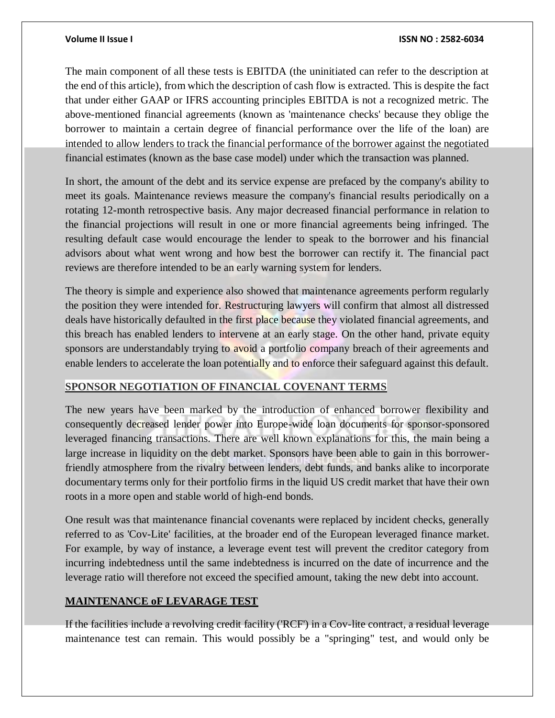The main component of all these tests is EBITDA (the uninitiated can refer to the description at the end of this article), from which the description of cash flow is extracted. This is despite the fact that under either GAAP or IFRS accounting principles EBITDA is not a recognized metric. The above-mentioned financial agreements (known as 'maintenance checks' because they oblige the borrower to maintain a certain degree of financial performance over the life of the loan) are intended to allow lenders to track the financial performance of the borrower against the negotiated financial estimates (known as the base case model) under which the transaction was planned.

In short, the amount of the debt and its service expense are prefaced by the company's ability to meet its goals. Maintenance reviews measure the company's financial results periodically on a rotating 12-month retrospective basis. Any major decreased financial performance in relation to the financial projections will result in one or more financial agreements being infringed. The resulting default case would encourage the lender to speak to the borrower and his financial advisors about what went wrong and how best the borrower can rectify it. The financial pact reviews are therefore intended to be an early warning system for lenders.

The theory is simple and experience also showed that maintenance agreements perform regularly the position they were intended for. Restructuring lawyers will confirm that almost all distressed deals have historically defaulted in the first place because they violated financial agreements, and this breach has enabled lenders to intervene at an early stage. On the other hand, private equity sponsors are understandably trying to avoid a portfolio company breach of their agreements and enable lenders to accelerate the loan potentially and to enforce their safeguard against this default.

### **SPONSOR NEGOTIATION OF FINANCIAL COVENANT TERMS**

The new years have been marked by the introduction of enhanced borrower flexibility and consequently decreased lender power into Europe-wide loan documents for sponsor-sponsored leveraged financing transactions. There are well known explanations for this, the main being a large increase in liquidity on the debt market. Sponsors have been able to gain in this borrowerfriendly atmosphere from the rivalry between lenders, debt funds, and banks alike to incorporate documentary terms only for their portfolio firms in the liquid US credit market that have their own roots in a more open and stable world of high-end bonds.

One result was that maintenance financial covenants were replaced by incident checks, generally referred to as 'Cov-Lite' facilities, at the broader end of the European leveraged finance market. For example, by way of instance, a leverage event test will prevent the creditor category from incurring indebtedness until the same indebtedness is incurred on the date of incurrence and the leverage ratio will therefore not exceed the specified amount, taking the new debt into account.

### **MAINTENANCE oF LEVARAGE TEST**

If the facilities include a revolving credit facility ('RCF') in a Cov-lite contract, a residual leverage maintenance test can remain. This would possibly be a "springing" test, and would only be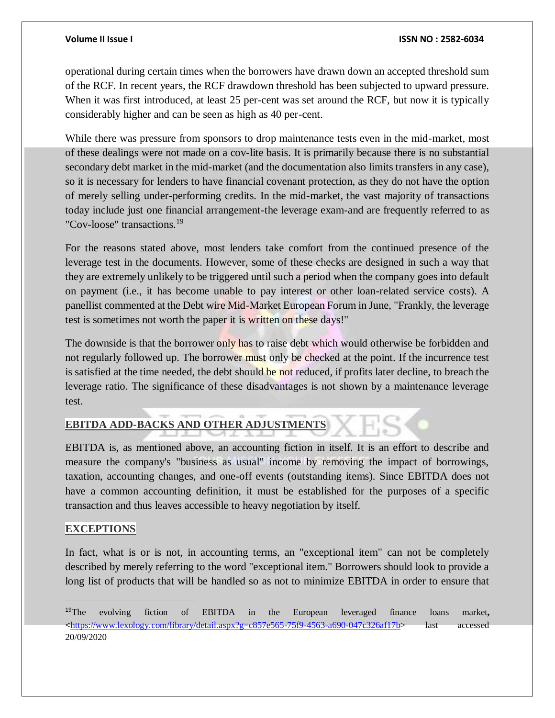operational during certain times when the borrowers have drawn down an accepted threshold sum of the RCF. In recent years, the RCF drawdown threshold has been subjected to upward pressure. When it was first introduced, at least 25 per-cent was set around the RCF, but now it is typically considerably higher and can be seen as high as 40 per-cent.

While there was pressure from sponsors to drop maintenance tests even in the mid-market, most of these dealings were not made on a cov-lite basis. It is primarily because there is no substantial secondary debt market in the mid-market (and the documentation also limits transfers in any case), so it is necessary for lenders to have financial covenant protection, as they do not have the option of merely selling under-performing credits. In the mid-market, the vast majority of transactions today include just one financial arrangement-the leverage exam-and are frequently referred to as "Cov-loose" transactions.<sup>19</sup>

For the reasons stated above, most lenders take comfort from the continued presence of the leverage test in the documents. However, some of these checks are designed in such a way that they are extremely unlikely to be triggered until such a period when the company goes into default on payment (i.e., it has become unable to pay interest or other loan-related service costs). A panellist commented at the Debt wire Mid-Market European Forum in June, "Frankly, the leverage test is sometimes not worth the paper it is written on these days!"

The downside is that the borrower only has to raise debt which would otherwise be forbidden and not regularly followed up. The borrower must only be checked at the point. If the incurrence test is satisfied at the time needed, the debt should be not reduced, if profits later decline, to breach the leverage ratio. The significance of these disadvantages is not shown by a maintenance leverage test.

### **EBITDA ADD-BACKS AND OTHER ADJUSTMENTS**

EBITDA is, as mentioned above, an accounting fiction in itself. It is an effort to describe and measure the company's "business as usual" income by removing the impact of borrowings, taxation, accounting changes, and one-off events (outstanding items). Since EBITDA does not have a common accounting definition, it must be established for the purposes of a specific transaction and thus leaves accessible to heavy negotiation by itself.

### **EXCEPTIONS**

 $\overline{a}$ 

In fact, what is or is not, in accounting terms, an "exceptional item" can not be completely described by merely referring to the word "exceptional item." Borrowers should look to provide a long list of products that will be handled so as not to minimize EBITDA in order to ensure that

<sup>19</sup>The evolving fiction of EBITDA in the European leveraged finance loans market**, <**[https://www.lexology.com/library/detail.aspx?g=c857e565-75f9-4563-a690-047c326af17b>](https://www.lexology.com/library/detail.aspx?g=c857e565-75f9-4563-a690-047c326af17b) last accessed 20/09/2020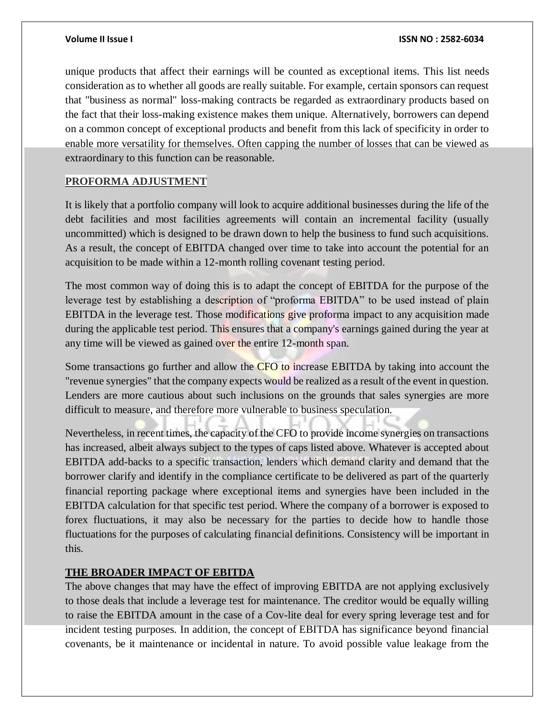unique products that affect their earnings will be counted as exceptional items. This list needs consideration as to whether all goods are really suitable. For example, certain sponsors can request that "business as normal" loss-making contracts be regarded as extraordinary products based on the fact that their loss-making existence makes them unique. Alternatively, borrowers can depend on a common concept of exceptional products and benefit from this lack of specificity in order to enable more versatility for themselves. Often capping the number of losses that can be viewed as extraordinary to this function can be reasonable.

### **PROFORMA ADJUSTMENT**

It is likely that a portfolio company will look to acquire additional businesses during the life of the debt facilities and most facilities agreements will contain an incremental facility (usually uncommitted) which is designed to be drawn down to help the business to fund such acquisitions. As a result, the concept of EBITDA changed over time to take into account the potential for an acquisition to be made within a 12-month rolling covenant testing period.

The most common way of doing this is to adapt the concept of EBITDA for the purpose of the leverage test by establishing a description of "proforma EBITDA" to be used instead of plain EBITDA in the leverage test. Those modifications give proforma impact to any acquisition made during the applicable test period. This ensures that a company's earnings gained during the year at any time will be viewed as gained over the entire 12-month span.

Some transactions go further and allow the CFO to increase EBITDA by taking into account the "revenue synergies" that the company expects would be realized as a result of the event in question. Lenders are more cautious about such inclusions on the grounds that sales synergies are more difficult to measure, and therefore more vulnerable to business speculation.

Nevertheless, in recent times, the capacity of the CFO to provide income synergies on transactions has increased, albeit always subject to the types of caps listed above. Whatever is accepted about EBITDA add-backs to a specific transaction, lenders which demand clarity and demand that the borrower clarify and identify in the compliance certificate to be delivered as part of the quarterly financial reporting package where exceptional items and synergies have been included in the EBITDA calculation for that specific test period. Where the company of a borrower is exposed to forex fluctuations, it may also be necessary for the parties to decide how to handle those fluctuations for the purposes of calculating financial definitions. Consistency will be important in this.

### **THE BROADER IMPACT OF EBITDA**

The above changes that may have the effect of improving EBITDA are not applying exclusively to those deals that include a leverage test for maintenance. The creditor would be equally willing to raise the EBITDA amount in the case of a Cov-lite deal for every spring leverage test and for incident testing purposes. In addition, the concept of EBITDA has significance beyond financial covenants, be it maintenance or incidental in nature. To avoid possible value leakage from the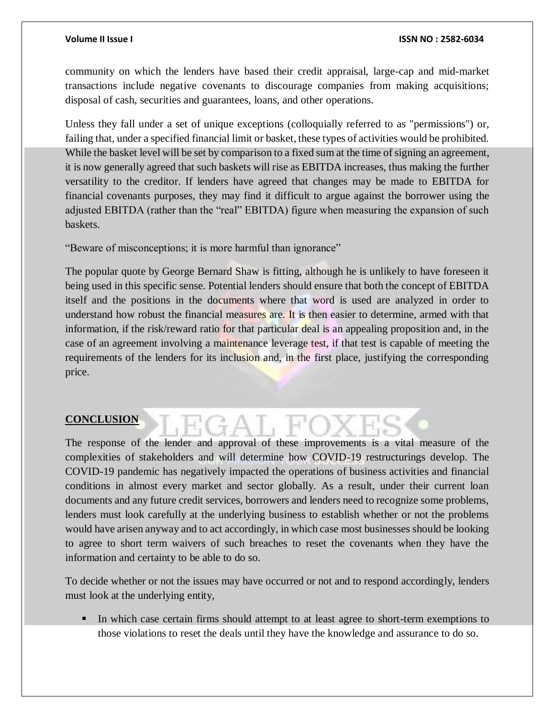community on which the lenders have based their credit appraisal, large-cap and mid-market transactions include negative covenants to discourage companies from making acquisitions; disposal of cash, securities and guarantees, loans, and other operations.

Unless they fall under a set of unique exceptions (colloquially referred to as "permissions") or, failing that, under a specified financial limit or basket, these types of activities would be prohibited. While the basket level will be set by comparison to a fixed sum at the time of signing an agreement, it is now generally agreed that such baskets will rise as EBITDA increases, thus making the further versatility to the creditor. If lenders have agreed that changes may be made to EBITDA for financial covenants purposes, they may find it difficult to argue against the borrower using the adjusted EBITDA (rather than the "real" EBITDA) figure when measuring the expansion of such baskets.

"Beware of misconceptions; it is more harmful than ignorance"

The popular quote by George Bernard Shaw is fitting, although he is unlikely to have foreseen it being used in this specific sense. Potential lenders should ensure that both the concept of EBITDA itself and the positions in the documents where that word is used are analyzed in order to understand how robust the financial measures are. It is then easier to determine, armed with that information, if the risk/reward ratio for that particular deal is an appealing proposition and, in the case of an agreement involving a maintenance leverage test, if that test is capable of meeting the requirements of the lenders for its inclusion and, in the first place, justifying the corresponding price.

### **CONCLUSION**

The response of the lender and approval of these improvements is a vital measure of the complexities of stakeholders and will determine how COVID-19 restructurings develop. The COVID-19 pandemic has negatively impacted the operations of business activities and financial conditions in almost every market and sector globally. As a result, under their current loan documents and any future credit services, borrowers and lenders need to recognize some problems, lenders must look carefully at the underlying business to establish whether or not the problems would have arisen anyway and to act accordingly, in which case most businesses should be looking to agree to short term waivers of such breaches to reset the covenants when they have the information and certainty to be able to do so.

To decide whether or not the issues may have occurred or not and to respond accordingly, lenders must look at the underlying entity,

In which case certain firms should attempt to at least agree to short-term exemptions to those violations to reset the deals until they have the knowledge and assurance to do so.